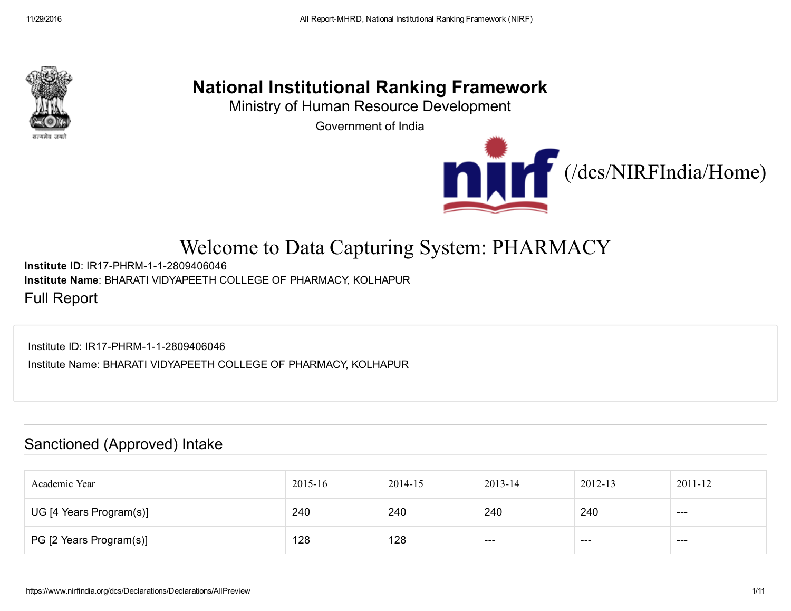

## National Institutional Ranking Framework

Ministry of Human Resource Development

Government of India



# Welcome to Data Capturing System: PHARMACY

Institute ID: IR17-PHRM-1-1-2809406046 Institute Name: BHARATI VIDYAPEETH COLLEGE OF PHARMACY, KOLHAPUR

Full Report

Institute ID: IR17-PHRM-1-1-2809406046

Institute Name: BHARATI VIDYAPEETH COLLEGE OF PHARMACY, KOLHAPUR

#### Sanctioned (Approved) Intake

| Academic Year           | 2015-16 | 2014-15 | 2013-14 | 2012-13 | $2011 - 12$ |
|-------------------------|---------|---------|---------|---------|-------------|
| UG [4 Years Program(s)] | 240     | 240     | 240     | 240     | $- - -$     |
| PG [2 Years Program(s)] | 128     | 128     | ----    | ---     | $---$       |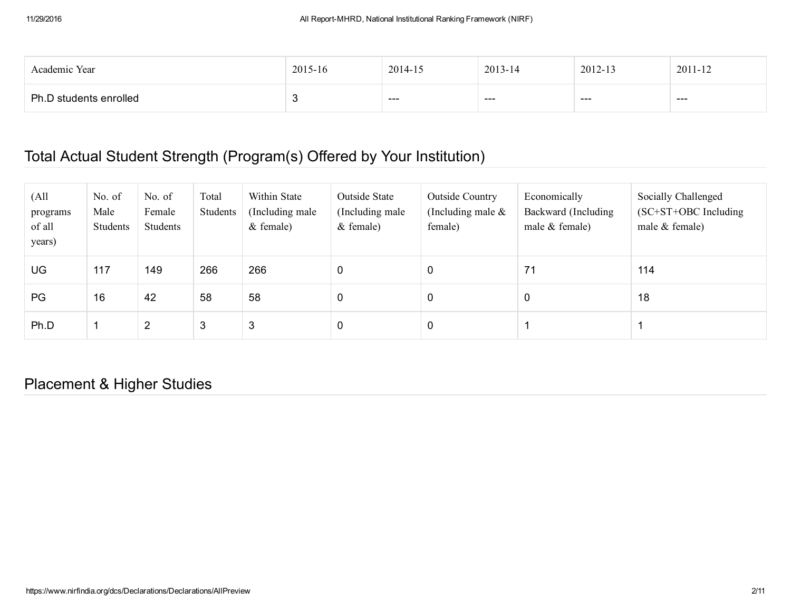| Academic Year          | 2015-16 | 2014-15 | 2013-14 | 2012-13 | 2011-12 |
|------------------------|---------|---------|---------|---------|---------|
| Ph.D students enrolled | ∼       | ---     | ---     | ---     | ---     |

### Total Actual Student Strength (Program(s) Offered by Your Institution)

| (A <sup>11</sup> )<br>programs<br>of all<br>years) | No. of<br>Male<br>Students | No. of<br>Female<br>Students | Total<br>Students | Within State<br>(Including male)<br>$&$ female) | Outside State<br>(Including male)<br>$&$ female) | <b>Outside Country</b><br>(Including male $\&$<br>female) | Economically<br>Backward (Including<br>male $&$ female) | Socially Challenged<br>$SC+ST+OBC$ Including<br>male $&$ female) |
|----------------------------------------------------|----------------------------|------------------------------|-------------------|-------------------------------------------------|--------------------------------------------------|-----------------------------------------------------------|---------------------------------------------------------|------------------------------------------------------------------|
| UG                                                 | 117                        | 149                          | 266               | 266                                             | 0                                                | 0                                                         | 71                                                      | 114                                                              |
| PG                                                 | 16                         | 42                           | 58                | 58                                              | 0                                                | 0                                                         | $\mathbf 0$                                             | 18                                                               |
| Ph.D                                               |                            | $\overline{2}$               | 3                 | 3                                               | 0                                                | 0                                                         |                                                         |                                                                  |

Placement & Higher Studies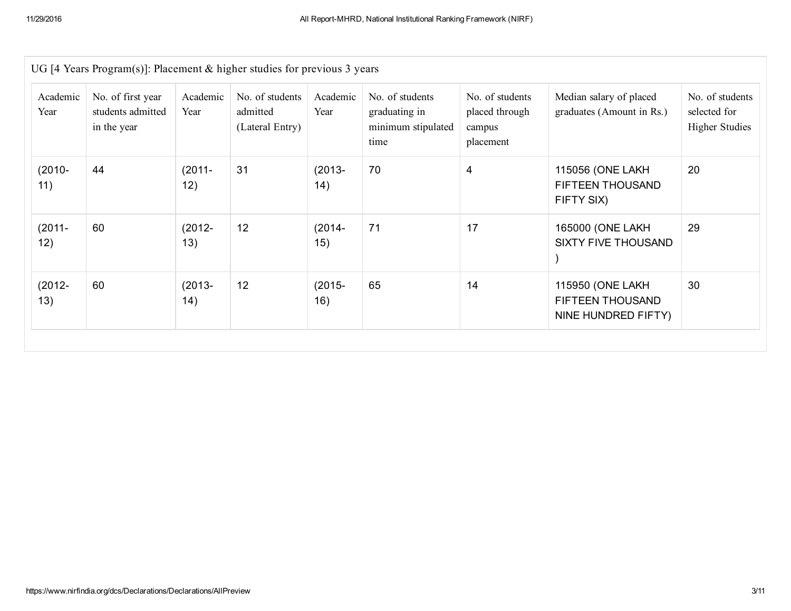| UG [4 Years Program(s)]: Placement & higher studies for previous 3 years |                                                       |                  |                                                |                  |                                                                |                                                          |                                                             |                                                          |  |  |  |
|--------------------------------------------------------------------------|-------------------------------------------------------|------------------|------------------------------------------------|------------------|----------------------------------------------------------------|----------------------------------------------------------|-------------------------------------------------------------|----------------------------------------------------------|--|--|--|
| Academic<br>Year                                                         | No. of first year<br>students admitted<br>in the year | Academic<br>Year | No. of students<br>admitted<br>(Lateral Entry) | Academic<br>Year | No. of students<br>graduating in<br>minimum stipulated<br>time | No. of students<br>placed through<br>campus<br>placement | Median salary of placed<br>graduates (Amount in Rs.)        | No. of students<br>selected for<br><b>Higher Studies</b> |  |  |  |
| $(2010 -$<br>11)                                                         | 44                                                    | $(2011 -$<br>12) | 31                                             | $(2013 -$<br>14) | 70                                                             | $\overline{4}$                                           | 115056 (ONE LAKH<br>FIFTEEN THOUSAND<br>FIFTY SIX)          | 20                                                       |  |  |  |
| $(2011 -$<br>12)                                                         | 60                                                    | $(2012 -$<br>13) | 12                                             | $(2014 -$<br>15) | 71                                                             | 17                                                       | 165000 (ONE LAKH<br><b>SIXTY FIVE THOUSAND</b>              | 29                                                       |  |  |  |
| $(2012 -$<br>13)                                                         | 60                                                    | $(2013 -$<br>14) | 12                                             | $(2015 -$<br>16) | 65                                                             | 14                                                       | 115950 (ONE LAKH<br>FIFTEEN THOUSAND<br>NINE HUNDRED FIFTY) | 30                                                       |  |  |  |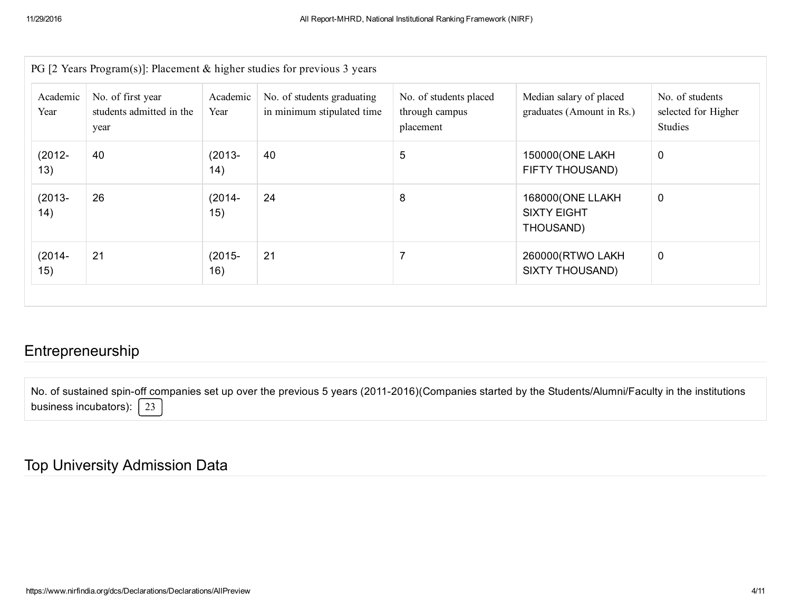|                  |                                                       |                  | PG [2 Years Program(s)]: Placement $\&$ higher studies for previous 3 years |                                                       |                                                      |                                                   |
|------------------|-------------------------------------------------------|------------------|-----------------------------------------------------------------------------|-------------------------------------------------------|------------------------------------------------------|---------------------------------------------------|
| Academic<br>Year | No. of first year<br>students admitted in the<br>year | Academic<br>Year | No. of students graduating<br>in minimum stipulated time                    | No. of students placed<br>through campus<br>placement | Median salary of placed<br>graduates (Amount in Rs.) | No. of students<br>selected for Higher<br>Studies |
| $(2012 -$<br>13) | 40                                                    | $(2013 -$<br>14) | 40                                                                          | 5                                                     | 150000(ONE LAKH<br>FIFTY THOUSAND)                   | $\mathbf 0$                                       |
| $(2013 -$<br>14) | 26                                                    | $(2014 -$<br>15) | 24                                                                          | 8                                                     | 168000(ONE LLAKH<br><b>SIXTY EIGHT</b><br>THOUSAND)  | $\mathbf 0$                                       |
| $(2014 -$<br>15) | 21                                                    | $(2015 -$<br>16) | 21                                                                          |                                                       | 260000(RTWO LAKH<br><b>SIXTY THOUSAND)</b>           | $\mathbf 0$                                       |

#### Entrepreneurship

No. of sustained spin-off companies set up over the previous 5 years (2011-2016)(Companies started by the Students/Alumni/Faculty in the institutions business incubators):  $\sqrt{23}$ 

#### Top University Admission Data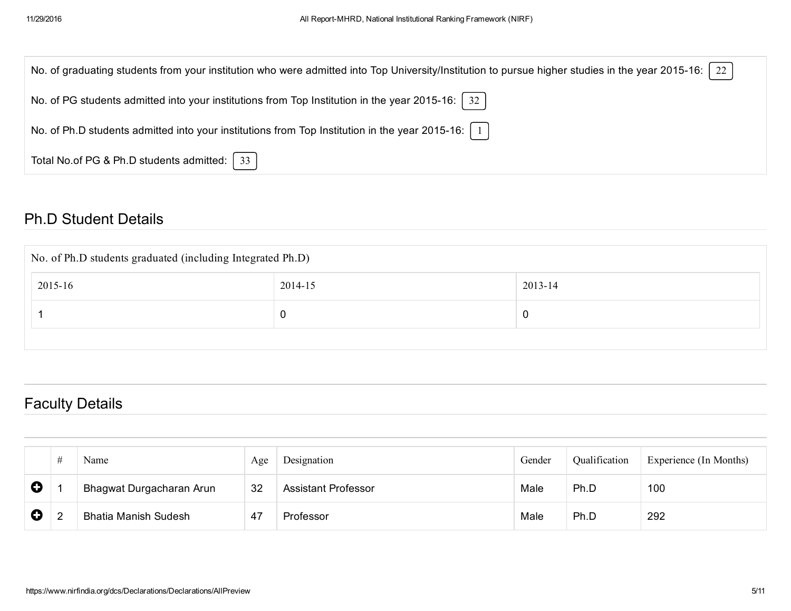| 22<br>No. of graduating students from your institution who were admitted into Top University/Institution to pursue higher studies in the year 2015-16: |
|--------------------------------------------------------------------------------------------------------------------------------------------------------|
| No. of PG students admitted into your institutions from Top Institution in the year 2015-16:   32                                                      |
| No. of Ph.D students admitted into your institutions from Top Institution in the year 2015-16:   1                                                     |
| Total No.of PG & Ph.D students admitted:   33                                                                                                          |

#### Ph.D Student Details

| No. of Ph.D students graduated (including Integrated Ph.D) |         |          |  |  |  |  |  |
|------------------------------------------------------------|---------|----------|--|--|--|--|--|
| 2015-16                                                    | 2014-15 | 2013-14  |  |  |  |  |  |
|                                                            |         | <b>U</b> |  |  |  |  |  |
|                                                            |         |          |  |  |  |  |  |

## Faculty Details

|             | # | Name                        | Age | Designation                | Gender | Qualification | Experience (In Months) |
|-------------|---|-----------------------------|-----|----------------------------|--------|---------------|------------------------|
| $\mathbf Q$ |   | Bhagwat Durgacharan Arun    | 32  | <b>Assistant Professor</b> | Male   | Ph.D          | 100                    |
| $\mathbf Q$ |   | <b>Bhatia Manish Sudesh</b> | -47 | Professor                  | Male   | Ph.D          | 292                    |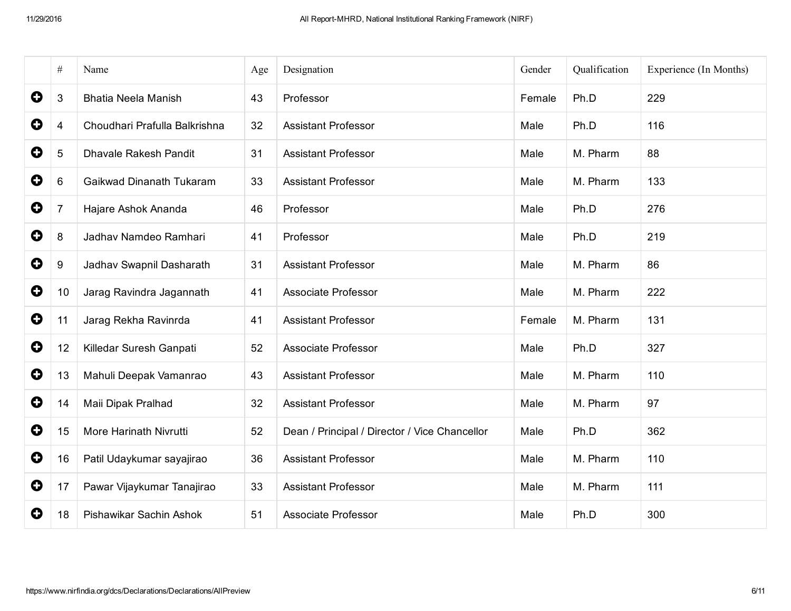|             | $\#$ | Name                          | Age | Designation                                   | Gender | Qualification | Experience (In Months) |
|-------------|------|-------------------------------|-----|-----------------------------------------------|--------|---------------|------------------------|
| $\bullet$   | 3    | <b>Bhatia Neela Manish</b>    | 43  | Professor                                     | Female | Ph.D          | 229                    |
| O           | 4    | Choudhari Prafulla Balkrishna | 32  | <b>Assistant Professor</b>                    | Male   | Ph.D          | 116                    |
| 0           | 5    | <b>Dhavale Rakesh Pandit</b>  | 31  | <b>Assistant Professor</b>                    | Male   | M. Pharm      | 88                     |
| $\bullet$   | 6    | Gaikwad Dinanath Tukaram      | 33  | <b>Assistant Professor</b>                    | Male   | M. Pharm      | 133                    |
| $\bullet$   | 7    | Hajare Ashok Ananda           | 46  | Professor                                     | Male   | Ph.D          | 276                    |
| $\bullet$   | 8    | Jadhav Namdeo Ramhari         | 41  | Professor                                     | Male   | Ph.D          | 219                    |
| $\bullet$   | 9    | Jadhav Swapnil Dasharath      | 31  | <b>Assistant Professor</b>                    | Male   | M. Pharm      | 86                     |
| 0           | 10   | Jarag Ravindra Jagannath      | 41  | <b>Associate Professor</b>                    | Male   | M. Pharm      | 222                    |
| $\mathbf Q$ | 11   | Jarag Rekha Ravinrda          | 41  | <b>Assistant Professor</b>                    | Female | M. Pharm      | 131                    |
| 0           | 12   | Killedar Suresh Ganpati       | 52  | Associate Professor                           | Male   | Ph.D          | 327                    |
| $\bullet$   | 13   | Mahuli Deepak Vamanrao        | 43  | <b>Assistant Professor</b>                    | Male   | M. Pharm      | 110                    |
| $\mathbf Q$ | 14   | Maii Dipak Pralhad            | 32  | <b>Assistant Professor</b>                    | Male   | M. Pharm      | 97                     |
| 0           | 15   | More Harinath Nivrutti        | 52  | Dean / Principal / Director / Vice Chancellor | Male   | Ph.D          | 362                    |
| $\bullet$   | 16   | Patil Udaykumar sayajirao     | 36  | <b>Assistant Professor</b>                    | Male   | M. Pharm      | 110                    |
| 0           | 17   | Pawar Vijaykumar Tanajirao    | 33  | <b>Assistant Professor</b>                    | Male   | M. Pharm      | 111                    |
| $\mathbf Q$ | 18   | Pishawikar Sachin Ashok       | 51  | <b>Associate Professor</b>                    | Male   | Ph.D          | 300                    |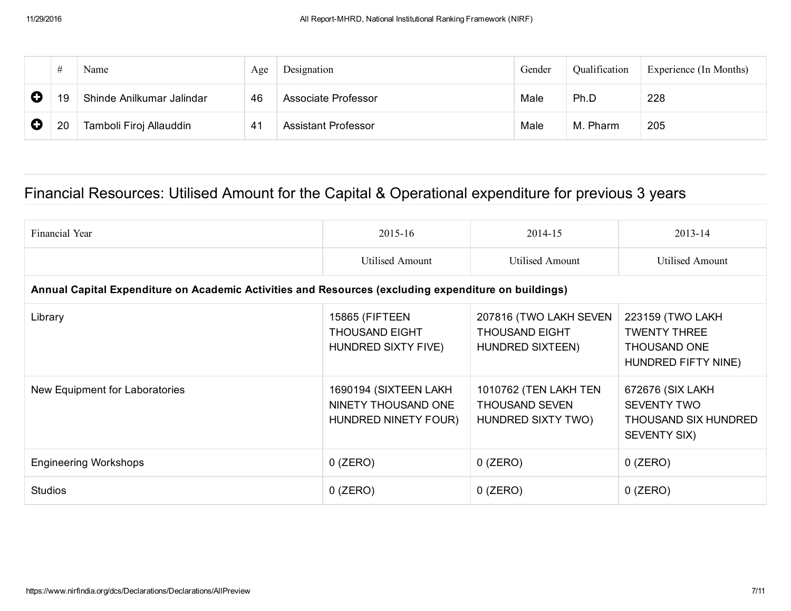|   |    | Name                      | Age | Designation                | Gender | Qualification | Experience (In Months) |
|---|----|---------------------------|-----|----------------------------|--------|---------------|------------------------|
| O | 19 | Shinde Anilkumar Jalindar | 46  | Associate Professor        | Male   | Ph.D          | 228                    |
| O | 20 | Tamboli Firoj Allauddin   | 41  | <b>Assistant Professor</b> | Male   | M. Pharm      | 205                    |

## Financial Resources: Utilised Amount for the Capital & Operational expenditure for previous 3 years

| Financial Year                                                                                       | $2015 - 16$                                                           | 2014-15                                                              | $2013 - 14$                                                                           |
|------------------------------------------------------------------------------------------------------|-----------------------------------------------------------------------|----------------------------------------------------------------------|---------------------------------------------------------------------------------------|
|                                                                                                      | <b>Utilised Amount</b>                                                | <b>Utilised Amount</b>                                               | Utilised Amount                                                                       |
| Annual Capital Expenditure on Academic Activities and Resources (excluding expenditure on buildings) |                                                                       |                                                                      |                                                                                       |
| Library                                                                                              | 15865 (FIFTEEN<br><b>THOUSAND EIGHT</b><br><b>HUNDRED SIXTY FIVE)</b> | 207816 (TWO LAKH SEVEN<br><b>THOUSAND EIGHT</b><br>HUNDRED SIXTEEN)  | 223159 (TWO LAKH<br><b>TWENTY THREE</b><br><b>THOUSAND ONE</b><br>HUNDRED FIFTY NINE) |
| New Equipment for Laboratories                                                                       | 1690194 (SIXTEEN LAKH<br>NINETY THOUSAND ONE<br>HUNDRED NINETY FOUR)  | 1010762 (TEN LAKH TEN<br><b>THOUSAND SEVEN</b><br>HUNDRED SIXTY TWO) | 672676 (SIX LAKH<br><b>SEVENTY TWO</b><br>THOUSAND SIX HUNDRED<br><b>SEVENTY SIX)</b> |
| <b>Engineering Workshops</b>                                                                         | $0$ (ZERO)                                                            | $0$ (ZERO)                                                           | $0$ (ZERO)                                                                            |
| <b>Studios</b>                                                                                       | $0$ (ZERO)                                                            | $0$ (ZERO)                                                           | $0$ (ZERO)                                                                            |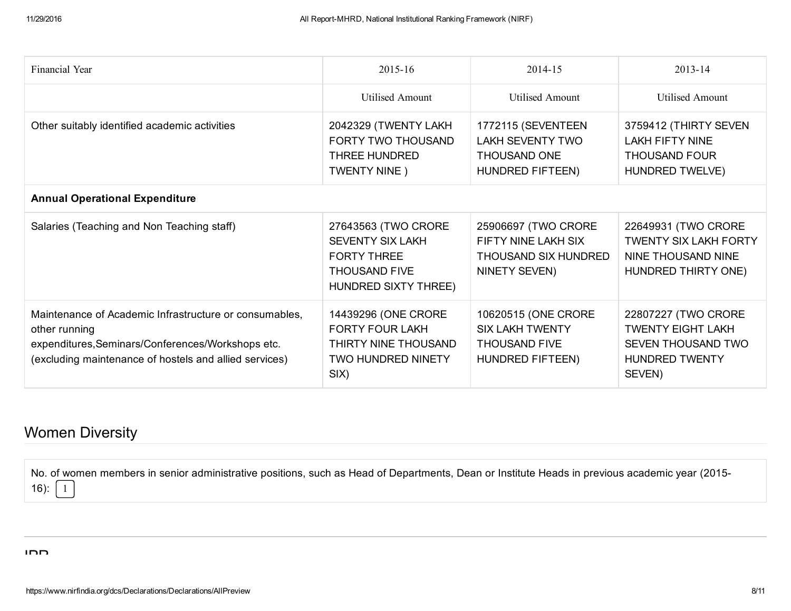| Financial Year                                                                                                                                                                         | $2015 - 16$                                                                                                   | 2014-15                                                                                   | $2013 - 14$                                                                                              |
|----------------------------------------------------------------------------------------------------------------------------------------------------------------------------------------|---------------------------------------------------------------------------------------------------------------|-------------------------------------------------------------------------------------------|----------------------------------------------------------------------------------------------------------|
|                                                                                                                                                                                        | <b>Utilised Amount</b>                                                                                        | <b>Utilised Amount</b>                                                                    | <b>Utilised Amount</b>                                                                                   |
| Other suitably identified academic activities                                                                                                                                          | 2042329 (TWENTY LAKH<br><b>FORTY TWO THOUSAND</b><br>THREE HUNDRED<br>TWENTY NINE)                            | 1772115 (SEVENTEEN<br><b>LAKH SEVENTY TWO</b><br><b>THOUSAND ONE</b><br>HUNDRED FIFTEEN)  | 3759412 (THIRTY SEVEN<br><b>LAKH FIFTY NINE</b><br><b>THOUSAND FOUR</b><br><b>HUNDRED TWELVE)</b>        |
| <b>Annual Operational Expenditure</b>                                                                                                                                                  |                                                                                                               |                                                                                           |                                                                                                          |
| Salaries (Teaching and Non Teaching staff)                                                                                                                                             | 27643563 (TWO CRORE<br><b>SEVENTY SIX LAKH</b><br><b>FORTY THREE</b><br>THOUSAND FIVE<br>HUNDRED SIXTY THREE) | 25906697 (TWO CRORE<br>FIFTY NINE LAKH SIX<br>THOUSAND SIX HUNDRED<br>NINETY SEVEN)       | 22649931 (TWO CRORE<br><b>TWENTY SIX LAKH FORTY</b><br>NINE THOUSAND NINE<br>HUNDRED THIRTY ONE)         |
| Maintenance of Academic Infrastructure or consumables,<br>other running<br>expenditures, Seminars/Conferences/Workshops etc.<br>(excluding maintenance of hostels and allied services) | 14439296 (ONE CRORE<br><b>FORTY FOUR LAKH</b><br>THIRTY NINE THOUSAND<br><b>TWO HUNDRED NINETY</b><br>SIX)    | 10620515 (ONE CRORE<br><b>SIX LAKH TWENTY</b><br><b>THOUSAND FIVE</b><br>HUNDRED FIFTEEN) | 22807227 (TWO CRORE<br><b>TWENTY EIGHT LAKH</b><br>SEVEN THOUSAND TWO<br><b>HUNDRED TWENTY</b><br>SEVEN) |

## Women Diversity

No. of women members in senior administrative positions, such as Head of Departments, Dean or Institute Heads in previous academic year (2015 16):  $\begin{vmatrix} 1 \end{vmatrix}$ 

IDD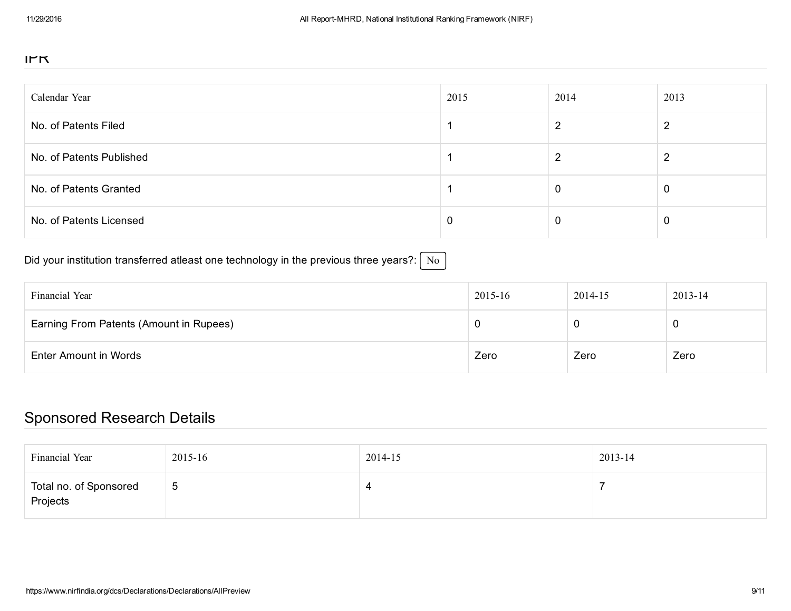#### IPR

| Calendar Year            | 2015 | 2014 | 2013 |
|--------------------------|------|------|------|
| No. of Patents Filed     |      |      | ົ    |
| No. of Patents Published |      | 2    | ົ    |
| No. of Patents Granted   |      | 0    | 0    |
| No. of Patents Licensed  | €    | 0    | 0    |

Did your institution transferred atleast one technology in the previous three years?:  $\sqrt{\text{No}}$ 

| Financial Year                          | 2015-16 | 2014-15 | 2013-14 |
|-----------------------------------------|---------|---------|---------|
| Earning From Patents (Amount in Rupees) |         |         | v       |
| Enter Amount in Words                   | Zero    | Zero    | Zero    |

### Sponsored Research Details

| Financial Year                     | 2015-16     | 2014-15 | 2013-14 |
|------------------------------------|-------------|---------|---------|
| Total no. of Sponsored<br>Projects | $\mathbf b$ | ∸       |         |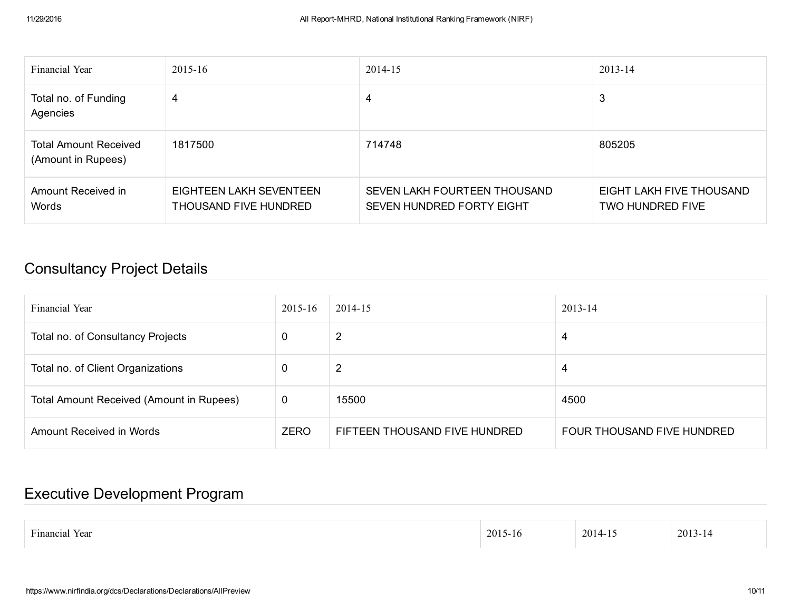| Financial Year                                     | $2015 - 16$                                      | 2014-15                                                   | $2013 - 14$                                         |
|----------------------------------------------------|--------------------------------------------------|-----------------------------------------------------------|-----------------------------------------------------|
| Total no. of Funding<br>Agencies                   | 4                                                | 4                                                         | 3                                                   |
| <b>Total Amount Received</b><br>(Amount in Rupees) | 1817500                                          | 714748                                                    | 805205                                              |
| Amount Received in<br>Words                        | EIGHTEEN LAKH SEVENTEEN<br>THOUSAND FIVE HUNDRED | SEVEN LAKH FOURTEEN THOUSAND<br>SEVEN HUNDRED FORTY EIGHT | EIGHT LAKH FIVE THOUSAND<br><b>TWO HUNDRED FIVE</b> |

### Consultancy Project Details

| Financial Year                           | 2015-16 | 2014-15                       | 2013-14                    |
|------------------------------------------|---------|-------------------------------|----------------------------|
| Total no. of Consultancy Projects        | 0       | 2                             | 4                          |
| Total no. of Client Organizations        | 0       | 2                             | 4                          |
| Total Amount Received (Amount in Rupees) | 0       | 15500                         | 4500                       |
| Amount Received in Words                 | ZERO    | FIFTEEN THOUSAND FIVE HUNDRED | FOUR THOUSAND FIVE HUNDRED |

### Executive Development Program

| $-1$<br>.<br>vear<br>Hinancial | 201<br>·10 | 2014- | 2013<br>- 4<br>า− เ∠ |
|--------------------------------|------------|-------|----------------------|
|                                |            |       |                      |